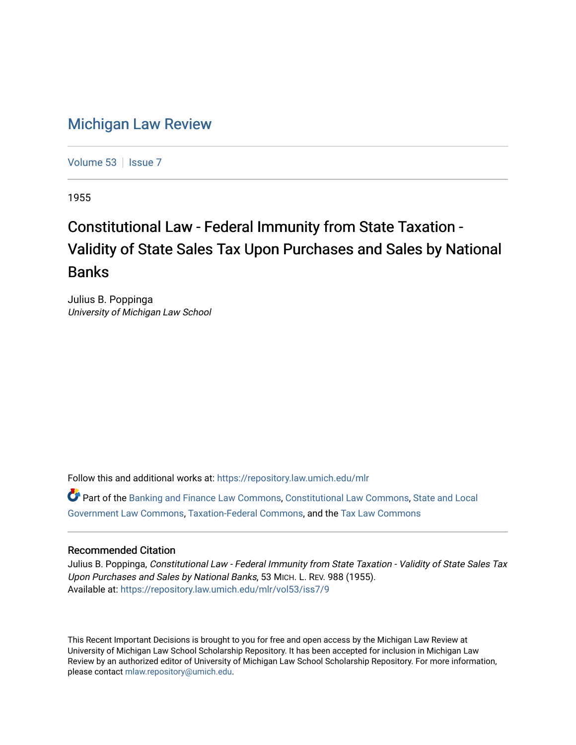## [Michigan Law Review](https://repository.law.umich.edu/mlr)

[Volume 53](https://repository.law.umich.edu/mlr/vol53) | [Issue 7](https://repository.law.umich.edu/mlr/vol53/iss7)

1955

## Constitutional Law - Federal Immunity from State Taxation - Validity of State Sales Tax Upon Purchases and Sales by National Banks

Julius B. Poppinga University of Michigan Law School

Follow this and additional works at: [https://repository.law.umich.edu/mlr](https://repository.law.umich.edu/mlr?utm_source=repository.law.umich.edu%2Fmlr%2Fvol53%2Fiss7%2F9&utm_medium=PDF&utm_campaign=PDFCoverPages) 

Part of the [Banking and Finance Law Commons,](http://network.bepress.com/hgg/discipline/833?utm_source=repository.law.umich.edu%2Fmlr%2Fvol53%2Fiss7%2F9&utm_medium=PDF&utm_campaign=PDFCoverPages) [Constitutional Law Commons,](http://network.bepress.com/hgg/discipline/589?utm_source=repository.law.umich.edu%2Fmlr%2Fvol53%2Fiss7%2F9&utm_medium=PDF&utm_campaign=PDFCoverPages) [State and Local](http://network.bepress.com/hgg/discipline/879?utm_source=repository.law.umich.edu%2Fmlr%2Fvol53%2Fiss7%2F9&utm_medium=PDF&utm_campaign=PDFCoverPages) [Government Law Commons,](http://network.bepress.com/hgg/discipline/879?utm_source=repository.law.umich.edu%2Fmlr%2Fvol53%2Fiss7%2F9&utm_medium=PDF&utm_campaign=PDFCoverPages) [Taxation-Federal Commons](http://network.bepress.com/hgg/discipline/881?utm_source=repository.law.umich.edu%2Fmlr%2Fvol53%2Fiss7%2F9&utm_medium=PDF&utm_campaign=PDFCoverPages), and the [Tax Law Commons](http://network.bepress.com/hgg/discipline/898?utm_source=repository.law.umich.edu%2Fmlr%2Fvol53%2Fiss7%2F9&utm_medium=PDF&utm_campaign=PDFCoverPages) 

## Recommended Citation

Julius B. Poppinga, Constitutional Law - Federal Immunity from State Taxation - Validity of State Sales Tax Upon Purchases and Sales by National Banks, 53 MICH. L. REV. 988 (1955). Available at: [https://repository.law.umich.edu/mlr/vol53/iss7/9](https://repository.law.umich.edu/mlr/vol53/iss7/9?utm_source=repository.law.umich.edu%2Fmlr%2Fvol53%2Fiss7%2F9&utm_medium=PDF&utm_campaign=PDFCoverPages)

This Recent Important Decisions is brought to you for free and open access by the Michigan Law Review at University of Michigan Law School Scholarship Repository. It has been accepted for inclusion in Michigan Law Review by an authorized editor of University of Michigan Law School Scholarship Repository. For more information, please contact [mlaw.repository@umich.edu.](mailto:mlaw.repository@umich.edu)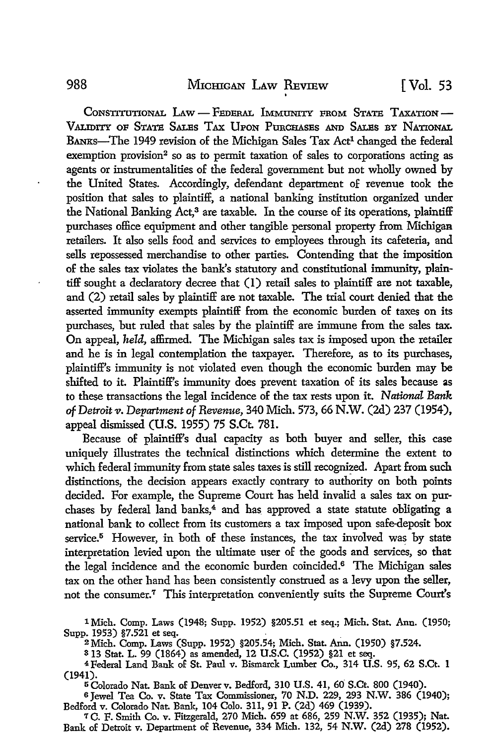CONSTITUTIONAL LAW - FEDERAL IMMUNITY FROM STATE TAXATION-VALIDITY OF STATE SALES TAX UPON PURCHASES AND SALES BY NATIONAL BANKS-The 1949 revision of the Michigan Sales Tax Act<sup>1</sup> changed the federal exemption provision<sup>2</sup> so as to permit taxation of sales to corporations acting as agents or instrumentalities of the federal government but not wholly owned by the United States. Accordingly, defendant department of revenue took the position that sales to plaintiff, a national banking institution organized under the National Banking Act,<sup>3</sup> are taxable. In the course of its operations, plaintiff purchases office equipment and other tangible personal property from Michigan retailers. It also sells food and services to employees through its cafeteria, and sells repossessed merchandise to other parties. Contending that the imposition of the sales tax violates the bank's statutory and constitutional immunity, plaintiff sought a declaratory decree that (1) retail sales to plaintiff are not taxable, and (2) retail sales by plaintiff are not taxable. The trial court denied that the asserted immunity exempts plaintiff from the economic burden of taxes on its purchases, but ruled that sales by the plaintiff are immune from the sales tax. On appeal, *held,* affirmed. The Michigan sales tax is imposed upon the retailer and he is in legal contemplation the taxpayer. Therefore, as to its purchases, plaintiff's immunity is not violated even though the economic burden may be shifted to it. Plaintiff's immunity does prevent taxation of its sales because as to these transactions the legal incidence of the tax rests upon it. *National Bank of Detroit* 11. *Department of Revenue,* 340 Mich. 573, 66 **N.W.** (2d) 237 (1954), appeal dismissed (U.S. 1955) 75 S.Ct. 781.

Because of plaintiff's dual capacity as both buyer and seller, this case uniquely illustrates the technical distinctions which determine the extent to which federal immunity from state sales taxes is still recognized. Apart from such distinctions, the decision appears exactly contrary to authority on both points decided. For example, the Supreme Court has held invalid a sales tax on purchases by federal land banks,<sup>4</sup> and has approved a state statute obligating a national bank to collect from its customers a tax imposed upon safe-deposit box service.<sup>5</sup> However, in both of these instances, the tax involved was by state interpretation levied upon the ultimate user of the goods and services, so that the legal incidence and the economic burden coincided.6 The Michigan sales tax on the other hand has been consistently construed as a levy upon the seller, not the consumer.7 This interpretation conveniently suits the Supreme Court's

1 Mich. Comp. Laws (1948; Supp. 1952) §205.51 et seq.; Mich. Stat. Ann. (1950; Supp. 1953) §7.521 et seq. . . . . . . 2Mich. Comp. Laws (Supp. 1952) §205.54; Mich. Stat. Ann. (1950) §7.524.

3 13 Stat. L. 99 (1864) as amended, 12 U.S.C. (1952) §21 et seq.

4Federal Land Bank of St. Paul v. Bismarck Lumber Co., 314 U.S. 95, 62 S.Ct. 1 (1941). . 5Colorado Nat. Bank of Denverv. Bedford, 310 U.S. 41, 60 S.Ct. 800 (1940).

<sup>6</sup>Jewel Tea Co. v. State Tax Commissioner, 70 N.D. 229, 293 N.W. 386 (1940); Bedford v. Colorado Nat. Bank, 104 Colo. 311, 91 P. (2d) 469 (1939).

*1* C. F. Smith Co. v. Fitzgerald, 270 Mich. 659 at 686, 259 N.W. 352 (1935); Nat. Bank of Detroit v. Department of Revenue, 334 Mich. 132, 54 N.W. (2d) 278 (1952).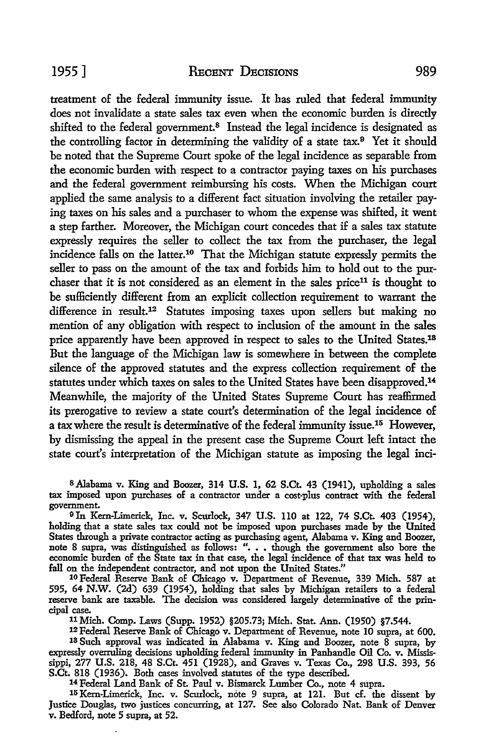treatment of the federal immunity issue. It has ruled that federal immunity does not invalidate a state sales tax even when the economic burden is directly shifted to the federal government.<sup>8</sup> Instead the legal incidence is designated as the controlling factor in determining the validity of a state tax.9 Yet it should be noted that the Supreme Court spoke of the legal incidence as separable from the economic burden with respect to a contractor paying taxes on his purchases and the federal government reimbursing his costs. When the Michigan court applied the same analysis to a different fact situation involving the retailer paying taxes on his sales and a purchaser to whom the expense was shifted, it went a step farther. Moreover, the Michigan court concedes that if a sales tax statute expressly requires the seller to collect the tax from the purchaser, the legal incidence falls on the latter.10 That the Michigan statute expressly permits the seller to pass on the amount of the tax and forbids him to hold out to the purchaser that it is not considered as an element in the sales price<sup>11</sup> is thought to be sufficiently different from an explicit collection requirement to warrant the difference in result.12 Statutes imposing taxes upon sellers but making no mention of any obligation with respect to inclusion of the amount in the sales price apparently have been approved in respect to sales to the United States.18 But the language of the Michigan law is somewhere in between the complete silence of the approved statutes and the express collection requirement of the statutes under which taxes on sales to the United States have been disapproved.<sup>14</sup> Meanwhile, the majority of the United States Supreme Court has reaffirmed its prerogative to review a state court's determination of the legal incidence of a tax where the result is determinative of the federal immunity issue.15 However, by dismissing the appeal in the present case the Supreme Court left intact the state court's interpretation of the Michigan statute as imposing the legal incl-

8 Alabama v. King and Boozer, 314 U.S. 1, 62 S.Ct. 43 (1941), upholding a sales tax imposed upon purchases of a contractor under a cost-plus contract with the federal government.

<sup>9</sup>In Kern-Limerick, Inc. v. Scurlock, 347 U.S. llO at 122, 74 S.Ct. 403 (1954), holding that a state sales tax could not be imposed upon purchases made by the United States through a private contractor acting as purchasing agent, Alabama v. King and Boozer, note 8 supra, was distinguished as follows: " ••• though the government also bore the economic burden of the State tax in that case, the legal incidence of that tax was held to

<sup>10</sup> Federal Reserve Bank of Chicago v. Department of Revenue, 339 Mich. 587 at 595, 64 N.W. (2d) 639 (1954), holding that sales by Michigan retailers to a federal reserve bank are taxable. The decision was considered largely determinative of the principal case.

11 Mich. Comp. Laws (Supp. 1952) §205.73; Mich. Stat. Ann. (1950) §7.544. 13 Such approval was indicated in Alabama v. King and Boozer, note 8 supra, by expressly overruling decisions upholding federal immunity in Panhandle Oil Co. v. Mississippi, 277 U.S. 218, 48 S.Ct. 451 (1928), and Graves v. Texas Co., 298 U.S. 393, 56 S.Ct. 818 (1936). Both cases involved statutes of the type described.<br><sup>14</sup> Federal Land Bank of St. Paul v. Bismarck Lumber Co., note 4 supra.

<sup>14</sup> Federal Land Bank of St. Paul v. Bismarck Lumber Co., note 4 supra.<br><sup>15</sup> Kern-Limerick, Inc. v. Scurlock, note 9 supra, at 121. But cf. the dissent by Justice Douglas, two justices concurring, at 127. See also Colorado Nat. Bank of Denver v. Bedford, note 5 supra, at 52.